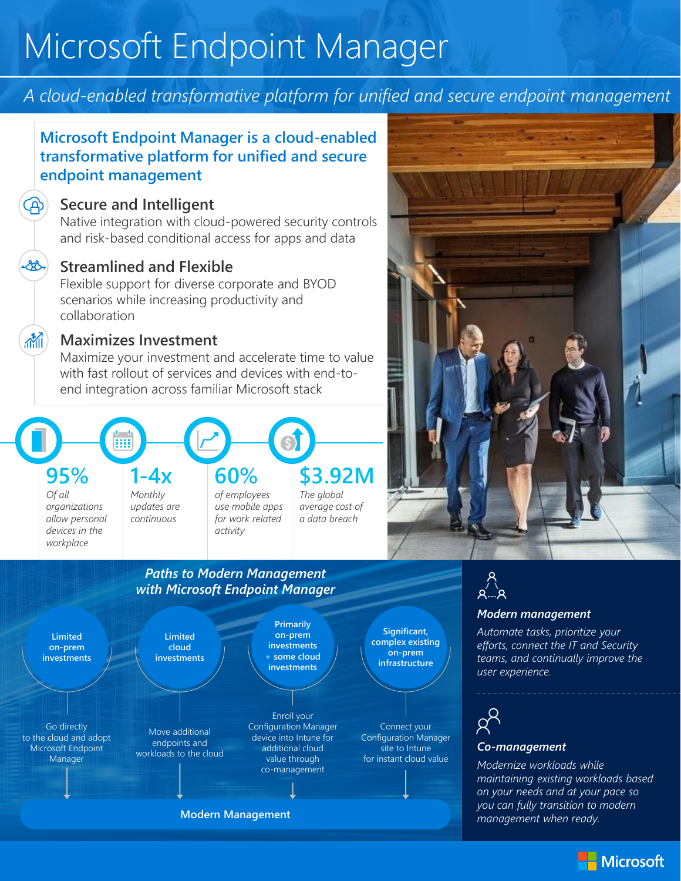# Microsoft Endpoint Manager

# *A cloud-enabled transformative platform for unified and secure endpoint management*

# **Microsoft Endpoint Manager is a cloud-enabled transformative platform for unified and secure endpoint management**

### **Secure and Intelligent**

 $\mathcal{L}(\mathbb{R})$ 

 $\mathbb{R}$ 

Native integration with cloud-powered security controls and risk-based conditional access for apps and data

# **Streamlined and Flexible**

Flexible support for diverse corporate and BYOD scenarios while increasing productivity and collaboration

## **Maximizes Investment**

*devices in the workplace* 

Maximize your investment and accelerate time to value with fast rollout of services and devices with end-toend integration across familiar Microsoft stack

### **1-4x 60% \$3.92M 95%** *The global average cost of a data breach of employees use mobile apps for work related Monthly updates are continuous Of all organizations allow personal*

# *Paths to Modern Management with Microsoft Endpoint Manager*

*activity*





### *Modern management*

*Automate tasks, prioritize your efforts, connect the IT and Security teams, and continually improve the user experience.*



### *Co-management*

*Modernize workloads while maintaining existing workloads based on your needs and at your pace so you can fully transition to modern management when ready.*